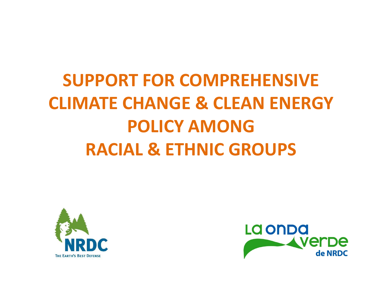# **SUPPORT FOR COMPREHENSIVE CLIMATE CHANGE & CLEAN ENERGY POLICY AMONGRACIAL & ETHNIC GROUPS**



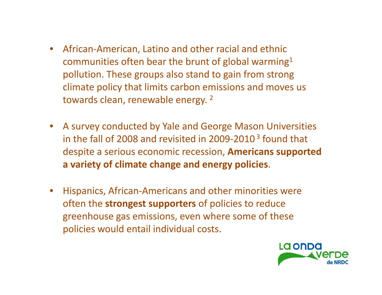- African‐American, Latino and other racial and ethnic communities often bear the brunt of global warming $^{\mathtt{1}}$ pollution. These groups also stand to gain from strong climate policy that limits carbon emissions and moves us towards clean, renewable energy. <sup>2</sup>
- A survey conducted by Yale and George Mason Universities in the fall of 2008 and revisited in 2009-2010  $^3$  found that despite <sup>a</sup> serious economic recession, **Americans supported a variety of climate change and energy policies**.
- • Hispanics, African‐Americans and other minorities were often the **strongest supporters** of policies to reduce greenhouse gas emissions, even where some of these policies would entail individual costs.

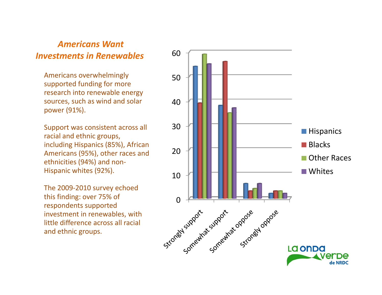#### *Americans Want Investments in Renewables*

Americans overwhelmingly supported funding for more research into renewable energy sources, such as wind and solar power (91%).

Support was consistent across all racial and ethnic groups, including Hispanics (85%), African Americans (95%), other races and ethnicities (94%) and non‐ Hispanic whites (92%).

The 2009‐2010 survey echoed this finding: over 75% of respondents supported investment in renewables, with little difference across all racial and ethnic groups.

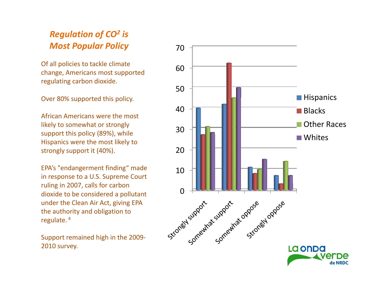#### *Regulation of CO<sup>2</sup> is Most Popular Policy*

Of all policies to tackle climate change, Americans most supported regulating carbon dioxide.

Over 80% supported this policy.

African Americans were the most likely to somewhat or strongly support this policy (89%), while Hispanics were the most likely to strongly support it (40%).

EPA's "endangerment finding" made in response to <sup>a</sup> U.S. Supreme Court ruling in 2007, calls for carbon dioxide to be considered <sup>a</sup> pollutant under the Clean Air Act, giving EPA the authority and obligation to regulate. <sup>4</sup>

Support remained high in the 2009‐ 2010 survey.



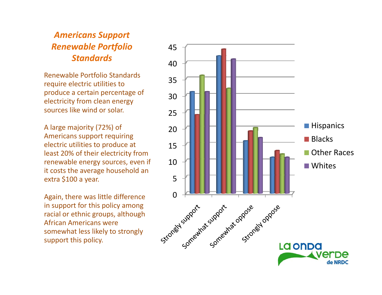### *Americans Support Renewable Portfolio Standards*

Renewable Portfolio Standards require electric utilities to produce <sup>a</sup> certain percentage of electricity from clean energy sources like wind or solar.

A large majority (72%) of Americans support requiring electric utilities to produce at least 20% of their electricity from renewable energy sources, even if it costs the average household an extra \$100 <sup>a</sup> year.

Again, there was little difference in support for this policy among racial or ethnic groups, although African Americans were somewhat less likely to strongly support this policy.

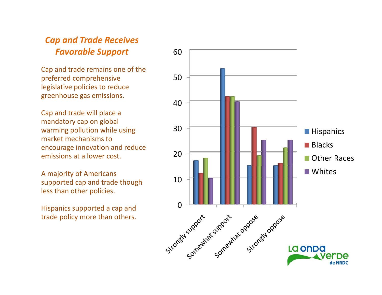#### *Cap and Trade Receives Favorable Support*

Cap and trade remains one of the preferred comprehensive legislative policies to reduce greenhouse gas emissions.

Cap and trade will place <sup>a</sup> mandatory cap on global warming pollution while using market mechanisms toencourage innovation and reduce emissions at a lower cost.

A majority of Americans supported cap and trade though less than other policies.

Hispanics supported <sup>a</sup> cap and trade policy more than others.

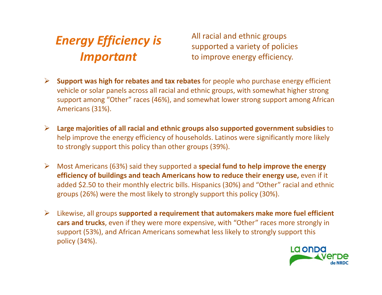## *Energy Efficiency is Important*

All racial and ethnic groups supported <sup>a</sup> variety of policies to improve energy efficiency.

- ¾ **Support was high for rebates and tax rebates** for people who purchase energy efficient vehicle or solar panels across all racial and ethnic groups, with somewhat higher strong support among "Other" races (46%), and somewhat lower strong support among African Americans (31%).
- ¾ **Large majorities of all racial and ethnic groups also supported government subsidies** to help improve the energy efficiency of households. Latinos were significantly more likely to strongly support this policy than other groups (39%).
- ¾ Most Americans (63%) said they supported <sup>a</sup> **special fund to help improve the energy efficiency of buildings and teach Americans how to reduce their energy use,** even if it added \$2.50 to their monthly electric bills. Hispanics (30%) and "Other" racial and ethnic groups (26%) were the most likely to strongly support this policy (30%).
- ¾ Likewise, all groups **supported <sup>a</sup> requirement that automakers make more fuel efficient cars and trucks**, even if they were more expensive, with "Other" races more strongly in support (53%), and African Americans somewhat less likely to strongly support this policy (34%).

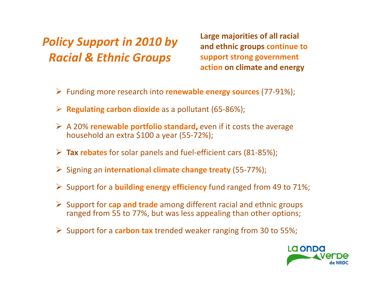## *Policy Support in 2010 by Racial & Ethnic Groups*

**Large majorities of all racial and ethnic groups continue to support strong government action on climate and energy**

- ¾ Funding more research into **renewable energy sources** (77‐91%);
- ¾ **Regulating carbon dioxide** as <sup>a</sup> pollutant (65‐86%);
- ¾ A 20% **renewable portfolio standard,** even if it costs the average household an extra \$100 <sup>a</sup> year (55‐72%);
- ¾ **Tax rebates** for solar panels and fuel‐efficient cars (81‐85%);
- ¾ Signing an **international climate change treaty** (55‐77%);
- ¾ Support for <sup>a</sup> **building energy efficiency** fund ranged from 49 to 71%;
- ¾ Support for **cap and trade** among different racial and ethnic groups ranged from 55 to 77%, but was less appealing than other options;
- ¾ Support for <sup>a</sup> **carbon tax** trended weaker ranging from 30 to 55%;